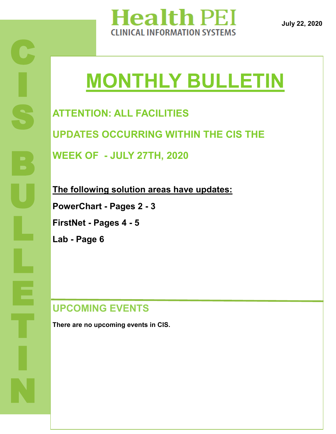

**July 22, 2020**

# **MONTHLY BULLETIN**

**ATTENTION: ALL FACILITIES UPDATES OCCURRING WITHIN THE CIS THE WEEK OF - JULY 27TH, 2020**

**The following solution areas have updates: PowerChart - Pages 2 - 3 FirstNet - Pages 4 - 5**

**Lab - Page 6** 

**UPCOMING EVENTS**

**There are no upcoming events in CIS.**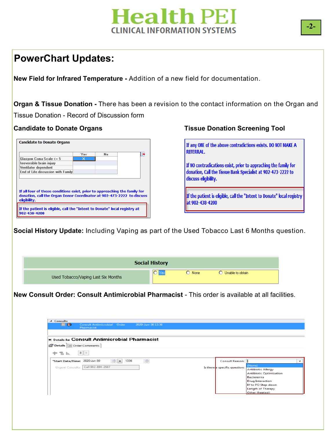### **PowerChart Updates:**

**New Field for Infrared Temperature -** Addition of a new field for documentation.

**Organ & Tissue Donation -** There has been a revision to the contact information on the Organ and Tissue Donation - Record of Discussion form

|                                    | Yes | No |  |
|------------------------------------|-----|----|--|
| Glasgow Coma Scale $\leq 5$        | ×   |    |  |
| Irreversible brain injury          |     |    |  |
| Ventilator dependent               |     |    |  |
| End of Life discussion with Family |     |    |  |
|                                    |     |    |  |

#### Candidate to Donate Organs **Tissue Donation Screening Tool**

If any ONE of the above contradictions exists. DO NOT MAKE A REFERRAL. If NO contradications exist, prior to appraching the family for donation, Call the Tissue Bank Specialist at 902-473-2222 to discuss eligibility.

If the patient is eligible, call the "Intent to Donate" local registry at 902-438-4200

 $\ddot{\phantom{0}}$ **Social History Update:** Including Vaping as part of the Used Tobacco Last 6 Months question.

|                                     | <b>Social History</b> |                 |                    |
|-------------------------------------|-----------------------|-----------------|--------------------|
| Used Tobacco/Vaping Last Six Months |                       | $\bigcirc$ None | ◯ Unable to obtain |

**New Consult Order: Consult Antimicrobial Pharmacist** - This order is available at all facilities.

| <b>Ex Details for Consult Antimicrobial Pharmacist</b><br>Details UE Order Comments |                                                             |
|-------------------------------------------------------------------------------------|-------------------------------------------------------------|
| $  \cdot   \times$<br>$+$ 2 in.                                                     |                                                             |
| $\div$<br>$\Rightarrow$ $\bullet$<br>1336<br>*Start Date/Time: 2020-Jun-30          | Consult Reason:                                             |
| Urgent Consults: Call 902-894-2587                                                  | (None)<br>Is there a specific question:                     |
|                                                                                     | <b>Antibiotic Allergy</b><br><b>Antibiotic Optimization</b> |
|                                                                                     | Bacteremia                                                  |
|                                                                                     | <b>Drug Interaction</b>                                     |
|                                                                                     | IV to PO Step-down                                          |
|                                                                                     | <b>Length of Therapy</b>                                    |
|                                                                                     | Other (freetext)                                            |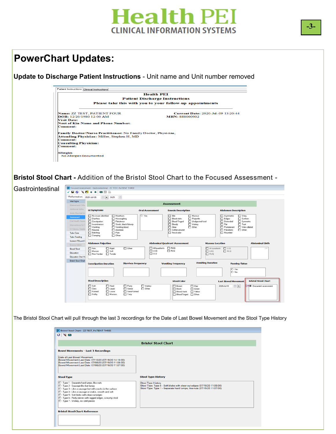### **PowerChart Updates:**

**Update to Discharge Patient Instructions** - Unit name and Unit number removed

|                                                                       | <b>Health PEI</b>                                           |  |  |  |  |
|-----------------------------------------------------------------------|-------------------------------------------------------------|--|--|--|--|
| <b>Patient Discharge Instructions</b>                                 |                                                             |  |  |  |  |
| Please take this with you to your follow-up appointments              |                                                             |  |  |  |  |
| Name: ZZ TEST, PATIENT FOUR<br><b>DOB</b> : 12/20/1980 12:00 AM       | Current Date: 2020-Jul-09 13:20:44<br><b>MRN: 888000902</b> |  |  |  |  |
| <b>Visit Date:</b>                                                    |                                                             |  |  |  |  |
| Next of Kin Name and Phone Number:                                    |                                                             |  |  |  |  |
| Comment:                                                              |                                                             |  |  |  |  |
| <b>Family Doctor/Nurse Practitioner:</b> No Family Doctor, Physician, |                                                             |  |  |  |  |
| Attending Physician: Miller, Stephen H, MD                            |                                                             |  |  |  |  |
| <b>Comment:</b>                                                       |                                                             |  |  |  |  |
| <b>Consulting Physician:</b>                                          |                                                             |  |  |  |  |
| <b>Comment:</b>                                                       |                                                             |  |  |  |  |
| <b>Allergies</b>                                                      |                                                             |  |  |  |  |
|                                                                       |                                                             |  |  |  |  |

#### **Bristol Stool Chart -** Addition of the Bristol Stool Chart to the Focused Assessment -



| "Performed on: 2020-Jul-16               | ÷<br>위치<br>1429                                                                 |                                |                                                                  |                                                            |                            |
|------------------------------------------|---------------------------------------------------------------------------------|--------------------------------|------------------------------------------------------------------|------------------------------------------------------------|----------------------------|
| <b>Vital Signs</b><br>Blateral and Ortho |                                                                                 |                                | <b>Assessment</b>                                                |                                                            |                            |
| Additional Girths                        | <b>GI Symptoms</b>                                                              | <b>Oral Assessment</b>         |                                                                  | <b>Abdomen Description</b>                                 |                            |
| Ankle Brachial Inc.                      |                                                                                 |                                | <b>Emesis Description</b>                                        |                                                            |                            |
| Assessment                               | No issues identified<br>Heatburn                                                | O Yes                          | $\Box$ Bile<br>$\Box$ Mucous<br><b>F</b> Blood clots             | $\Box$ Shiny<br>Asymmetric                                 |                            |
| Oral Health Asses                        | Diamea<br>Hiccoughing<br>□ Flatulence<br>Constipation                           |                                | Projectile<br>□ Blood-Tinged<br>Undigested food                  | <b>Bulges</b><br>$\Box$ Sunken<br>Distended                | Symmetric                  |
| Interventions for C                      | □ Incontinence<br>Stools, black/bloody                                          |                                | □ Watery<br>Bloody                                               | $\Box$ Flat<br>$\Box$ Taut                                 |                            |
| GI Ostomy Detaile                        | <b>IT</b> Vomiting<br>T Vomiting blood<br>$\Box$ Nausea<br>$\Box$ Anorexia      |                                | $\Box$ Clear<br>$\Box$ Other:<br>Coffee ground                   | <b>T</b> Protuberant<br>$\Box$ Other:<br><b>Pulsations</b> | □ Veins dilated            |
| <b>Tube Care</b>                         | $\Box$ Pain<br>$\Box$ Belching                                                  |                                | $\Box$ Fecal odor                                                | <b>D</b> Rounded                                           |                            |
| <b>Tube Feeding</b>                      | $\Box$ Other:<br>Cramping                                                       |                                |                                                                  |                                                            |                            |
| Incision/Wound C                         |                                                                                 |                                |                                                                  |                                                            |                            |
| Enema Admin                              | <b>Abdomen Palpation</b>                                                        |                                | <b>Abdominal Quadrant Assessment</b>                             | <b>Masses Location</b>                                     | <b>Abdominal Girth</b>     |
| Blood/Stool                              | $\Box$ Firm<br>$\Box$ Rigid<br>$\Box$ Other:                                    | All quadrants                  | $\Box$ RUQ<br>$\Box$ RLQ                                         | $\Box$ LLQ<br>$\Box$ All quadrants                         | cm                         |
| <b>Education</b>                         | $\Box$ Masses<br>$\Box$ Soft<br>Non-Tender<br>$\Box$ Tender                     | $\Box$ we<br>$\square$ uq      |                                                                  | $\Box$ LUQ<br>$\Box$ BLQ<br>$\Box$ RUQ                     |                            |
| Education Oral Hr                        |                                                                                 |                                |                                                                  |                                                            |                            |
| <b>Bristol Stool Chart</b>               |                                                                                 |                                |                                                                  | <b>Vomiting Duration</b>                                   |                            |
|                                          | <b>Constipation Duration</b>                                                    | <b>Diarrhea Frequency</b>      | <b>Vomiting Frequency</b>                                        | <b>Passing Flatus</b>                                      |                            |
|                                          |                                                                                 |                                |                                                                  | O Yes                                                      |                            |
|                                          |                                                                                 |                                |                                                                  | $\cap$ No                                                  |                            |
|                                          |                                                                                 |                                |                                                                  |                                                            |                            |
|                                          | <b>Stool Description</b>                                                        |                                | <b>Stool Color</b>                                               | <b>Last Bowel Movement</b>                                 | <b>Bristol Stool Chart</b> |
|                                          | $\Box$ Soft<br>$\Box$ Hard<br>$\Box$ Pasty<br>$\Box$ Clots<br><b>ITI</b> Liquid | $\Box$ Watery<br>$\Box$ Other: | $\Box$ Clay<br><b>D</b> Brown                                    | $\div$<br>2020-Jul-10                                      | O Document assessment      |
|                                          | $\Box$ Seedy                                                                    | □ Semi-Formed                  | $\Box$ Black<br>$\Box$ Green<br>FI Blood, frank<br>$\Box$ Yellow |                                                            |                            |

The Bristol Stool Chart will pull through the last 3 recordings for the Date of Last Bowel Movement and the Stool Type History

| <b>Stool Type History</b>                                                |
|--------------------------------------------------------------------------|
| <b>Stool Type History</b>                                                |
| Stool Type: Type 5 - Soft blobs with clear-cut edges (07/16/20 11:08:00) |
| Stool Type: Type 1 - Separate hard lumps, like nuts (07/16/20 11:07:00)  |
|                                                                          |
|                                                                          |
|                                                                          |
|                                                                          |
|                                                                          |
|                                                                          |
|                                                                          |
|                                                                          |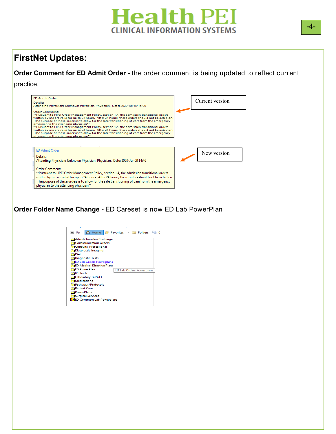### **FirstNet Updates:**

**Order Comment for ED Admit Order -** the order comment is being updated to reflect current practice.

| <b>ED Admit Order</b><br>Details:<br>Attending Physician: Unknown Physician, Physician,, Date: 2020-Jul-09 15:00                                                                                                                                                                                                                                                                                                                                                                                                                                                                                                                                                                                           | Current version |
|------------------------------------------------------------------------------------------------------------------------------------------------------------------------------------------------------------------------------------------------------------------------------------------------------------------------------------------------------------------------------------------------------------------------------------------------------------------------------------------------------------------------------------------------------------------------------------------------------------------------------------------------------------------------------------------------------------|-----------------|
| Order Comment:<br>**Pursuant to HPEI Order Management Policy, section 1.4, the admission transitional orders<br>written by me are valid for up to 24 hours. After 24 hours, these orders should not be acted on.<br>The purpose of these orders is to allow for the safe transitioning of care from the emergency<br>physician to the attending physician**<br>** Pursuant to HPEI Order Management Policy, section 1.4, the admission transitional orders<br>written by me are valid for up to 24 hours. After 24 hours, these orders should not be acted on.<br>The purpose of these orders is to allow for the safe transitioning of care from the emergency<br>physician to the attending physician.** |                 |
|                                                                                                                                                                                                                                                                                                                                                                                                                                                                                                                                                                                                                                                                                                            |                 |
| <b>ED Admit Order</b><br>Details:<br>Attending Physician: Unknown Physician, Physician,, Date: 2020-Jul-09 14:46                                                                                                                                                                                                                                                                                                                                                                                                                                                                                                                                                                                           | New version     |

**Order Folder Name Change -** ED Careset is now ED Lab PowerPlan

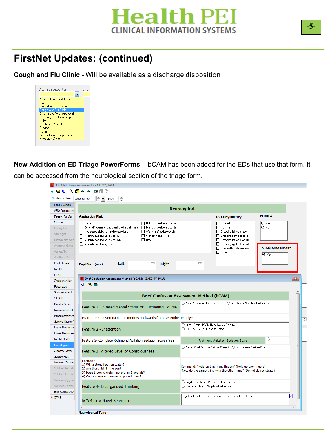

### **FirstNet Updates: (continued)**

**Cough and Flu Clinic -** Will be available as a discharge disposition

| Discharge Disposition:        | Disch |
|-------------------------------|-------|
|                               |       |
| <b>Against Medical Advice</b> |       |
| AWNI.                         |       |
| Cancelled Encounter           |       |
| Cough and Flu Clinic          |       |
| Discharged With Approval      |       |
| Discharged without Approval   |       |
| DOA                           |       |
| Duplicate Patient             |       |
| Expired                       |       |
| Home                          |       |
| Left Without Being Seen       |       |
| <b>Physician Clinic</b>       |       |
|                               |       |

**New Addition on ED Triage PowerForms** - bCAM has been added for the EDs that use that form. It can be accessed from the neurological section of the triage form.

| *Performed on: 2020-Jul-09                                   | $\frac{1}{\sqrt{2}}$<br>듺<br>$\blacktriangledown$<br>1454                           |                                                                |                                                                                          |                                                                                                                                  |                                 |
|--------------------------------------------------------------|-------------------------------------------------------------------------------------|----------------------------------------------------------------|------------------------------------------------------------------------------------------|----------------------------------------------------------------------------------------------------------------------------------|---------------------------------|
| Febrile Screen                                               |                                                                                     |                                                                | <b>Neurological</b>                                                                      |                                                                                                                                  |                                 |
| <b>ARO</b> Assessment                                        |                                                                                     |                                                                |                                                                                          |                                                                                                                                  | <b>PERRLA</b>                   |
| Reason for Visit                                             | <b>Aspiration Risk</b>                                                              |                                                                |                                                                                          | <b>Facial Symmetry</b>                                                                                                           |                                 |
| General                                                      | $\Box$ None<br>□ Cough/Frequent throat clearing with oral intake                    | □ Difficulty swallowing saliva<br>Difficulty swallowing solids |                                                                                          | □ Symmetric<br>Asymmetric                                                                                                        | $\bigcirc$ Yes<br>$\bigcirc$ No |
| Primary Pain                                                 | Decreased ability to handle secretions                                              | □ Weak, ineffective cough                                      |                                                                                          | Drooping left side face                                                                                                          |                                 |
| Vital Signs<br><b>Bilateral and Ortho</b>                    | Difficulty swallowing liquids, thick                                                | Wet sounding voice                                             |                                                                                          | Drooping right side face                                                                                                         |                                 |
| <b>Additional Girths</b>                                     | Difficulty swallowing liquids, thin<br>$\Box$ Other:<br>Difficulty swallowing pills |                                                                |                                                                                          | □ Drooping left side mouth<br>Drooping right side mouth                                                                          |                                 |
| Assess/Tx                                                    |                                                                                     |                                                                |                                                                                          | Unequal facial movements                                                                                                         | <b>bCAM Assessment</b>          |
|                                                              |                                                                                     |                                                                |                                                                                          | $\Box$ Other:                                                                                                                    | i Yes                           |
| Additional Pain<br>Point of Care                             |                                                                                     | mm                                                             | mm                                                                                       |                                                                                                                                  |                                 |
| Medlist                                                      | Left<br><b>Pupil Size (mm)</b>                                                      | <b>Right</b>                                                   |                                                                                          |                                                                                                                                  |                                 |
| <b>EENT</b>                                                  |                                                                                     |                                                                |                                                                                          |                                                                                                                                  |                                 |
| Cardiovascular                                               | <b>E</b> Brief Confusion Assessment Method (bCAM) - ZAKEMY, PAUL                    |                                                                |                                                                                          |                                                                                                                                  |                                 |
| Respiratory                                                  | じざ目                                                                                 |                                                                |                                                                                          |                                                                                                                                  |                                 |
| Gastrointestinal                                             |                                                                                     |                                                                |                                                                                          |                                                                                                                                  |                                 |
| GU/OB                                                        |                                                                                     | <b>Brief Confusion Assessment Method (bCAM)</b>                |                                                                                          |                                                                                                                                  |                                 |
| <b>Bladder Scan</b>                                          |                                                                                     |                                                                | O Yes - Assess Feature Two                                                               | O No - bCAM Negative No Delirium                                                                                                 |                                 |
| Musculoskeletal                                              | Feature 1 - Altered Mental Status or Fluctuating Course                             |                                                                |                                                                                          |                                                                                                                                  |                                 |
| Integumentary As:                                            |                                                                                     |                                                                |                                                                                          |                                                                                                                                  |                                 |
| Surgical Drains/T                                            | Feature 2: Can you name the months backwards from December to July?                 |                                                                |                                                                                          |                                                                                                                                  |                                 |
| Upper Neurovasc                                              | Feature 2 - Inattention                                                             |                                                                | O 0 or 1 Errors - bCAM Negative No Delirium<br>◯ >1 Errors - Assess Feature Three        |                                                                                                                                  |                                 |
| Lower Neurovasc                                              |                                                                                     |                                                                |                                                                                          |                                                                                                                                  |                                 |
| Mental Health                                                | Feature 3- Complete Richmond Agitation Sedation Scale if YES                        |                                                                |                                                                                          | Richmond Agitation Sedation Scale                                                                                                | $\overline{O}$ Yes              |
| Neurological                                                 |                                                                                     |                                                                |                                                                                          |                                                                                                                                  |                                 |
| Glasgow Coma                                                 | Feature 3- Altered Level of Consciousness                                           |                                                                |                                                                                          | O Yes - bCAM Positive Delirium Present O No - Assess Feature Four                                                                |                                 |
| Suicide Risk                                                 |                                                                                     |                                                                |                                                                                          |                                                                                                                                  |                                 |
| Violence/Aggress                                             | Feature 4:<br>1) Will a stone float on water?                                       |                                                                |                                                                                          |                                                                                                                                  |                                 |
|                                                              | 2) Are there fish in the sea?                                                       |                                                                |                                                                                          | Command: "Hold up this many fingers" (Hold up two fingers).<br>"Now do the same thing with the other hand" (Do not demonstrate). |                                 |
|                                                              | 3) Does 1 pound weigh more than 2 pounds?                                           |                                                                |                                                                                          |                                                                                                                                  |                                 |
|                                                              |                                                                                     |                                                                |                                                                                          |                                                                                                                                  |                                 |
| Suicide Risk Estin<br>Suicide Risk Inter<br>Violence/Aggress | 4) Can you use a hammer to pound a nail?                                            |                                                                |                                                                                          |                                                                                                                                  |                                 |
| Violence/Aggress                                             | Feature 4- Disorganized Thinking                                                    |                                                                | O Any Errors - bCAM Positive Delirium Present<br>O No Errors - bCAM Negative No Delirium |                                                                                                                                  |                                 |
| <b>Brief Confusion As</b>                                    |                                                                                     |                                                                |                                                                                          | Right click on the icon, to access the Reference text link -->                                                                   |                                 |